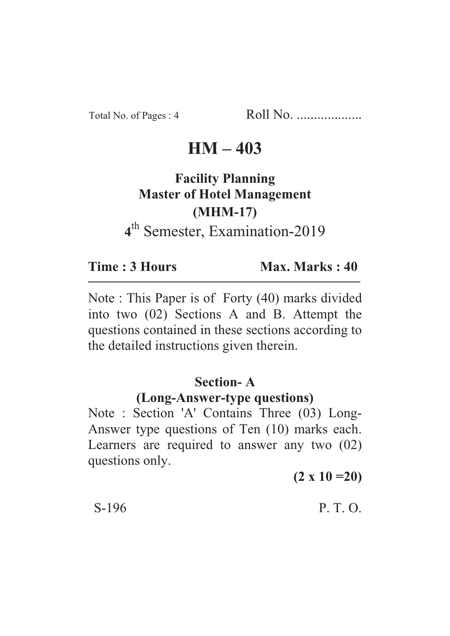Total No. of Pages : 4 Roll No. ...................

## **HM – 403**

# **Facility Planning Master of Hotel Management (MHM-17) 4** th Semester, Examination-2019

**Time : 3 Hours Max. Marks : 40** 

Note : This Paper is of Forty (40) marks divided into two (02) Sections A and B. Attempt the questions contained in these sections according to the detailed instructions given therein.

### **Section- A**

#### **(Long-Answer-type questions)**

Note : Section 'A' Contains Three (03) Long-Answer type questions of Ten (10) marks each. Learners are required to answer any two (02) questions only.

**(2 x 10 =20)**

#### $S-196$  P. T. O.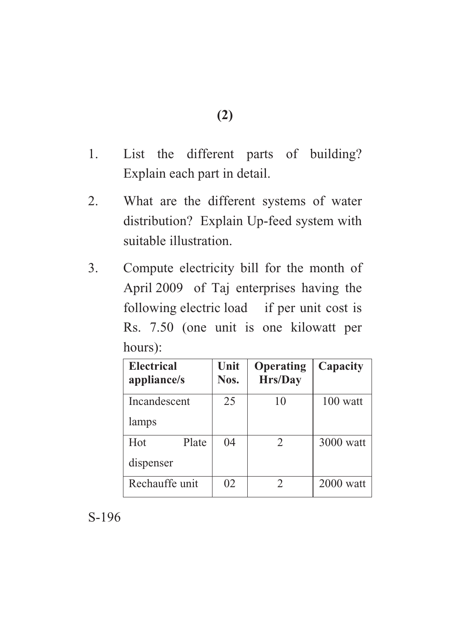- 1. List the different parts of building? Explain each part in detail.
- 2. What are the different systems of water distribution? Explain Up-feed system with suitable illustration.
- 3. Compute electricity bill for the month of April 2009 of Taj enterprises having the following electric load if per unit cost is Rs. 7.50 (one unit is one kilowatt per hours):

| <b>Electrical</b><br>appliance/s | Unit<br>Nos. | Operating<br>Hrs/Day | Capacity    |
|----------------------------------|--------------|----------------------|-------------|
| Incandescent                     | 25           | 10                   | $100$ watt  |
| lamps                            |              |                      |             |
| Plate<br>Hot                     | 04           | 2                    | $3000$ watt |
| dispenser                        |              |                      |             |
| Rechauffe unit                   | 02           |                      | $2000$ watt |

S-196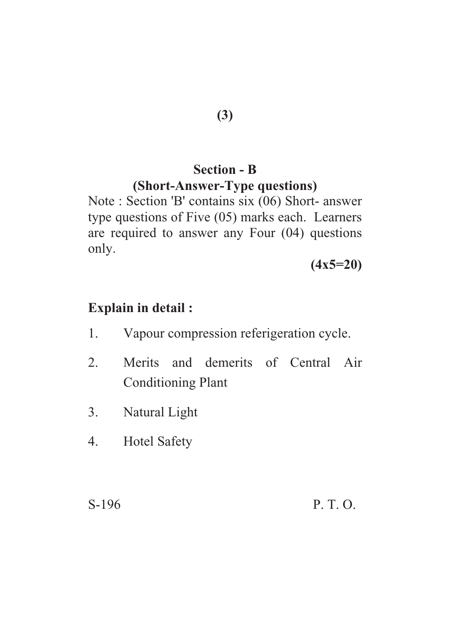# **Section - B**

## **(Short-Answer-Type questions)**

Note : Section 'B' contains six (06) Short- answer type questions of Five (05) marks each. Learners are required to answer any Four (04) questions only.

**(4x5=20)**

## **Explain in detail :**

- 1. Vapour compression referigeration cycle.
- 2. Merits and demerits of Central Air Conditioning Plant
- 3. Natural Light
- 4. Hotel Safety

S-196 P. T. O.